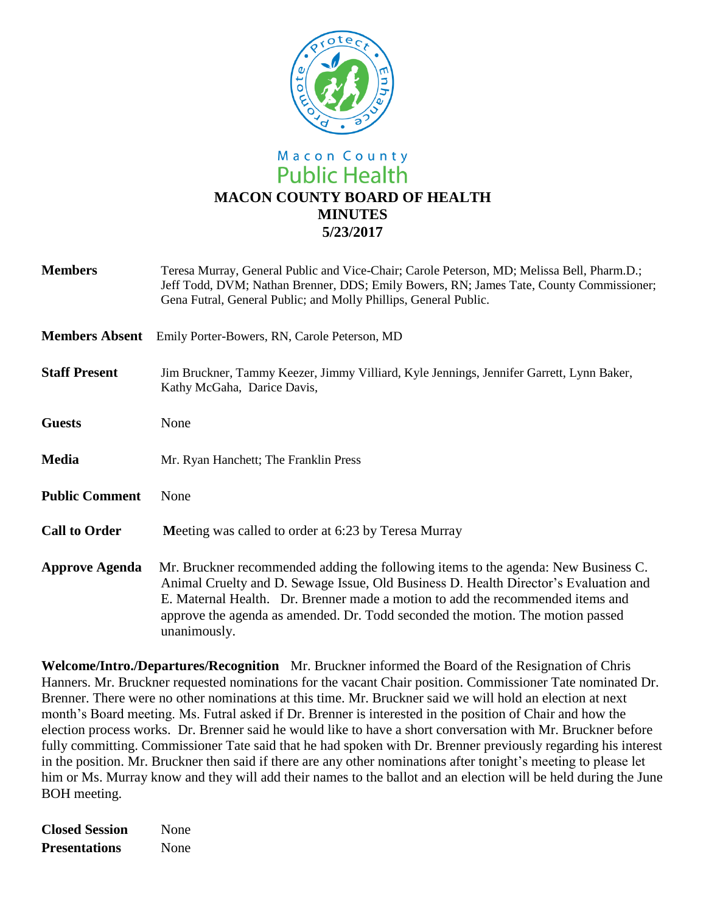

# Macon County **Public Health MACON COUNTY BOARD OF HEALTH MINUTES 5/23/2017**

| <b>Members</b>        | Teresa Murray, General Public and Vice-Chair; Carole Peterson, MD; Melissa Bell, Pharm.D.;<br>Jeff Todd, DVM; Nathan Brenner, DDS; Emily Bowers, RN; James Tate, County Commissioner;<br>Gena Futral, General Public; and Molly Phillips, General Public.                                                                                                      |
|-----------------------|----------------------------------------------------------------------------------------------------------------------------------------------------------------------------------------------------------------------------------------------------------------------------------------------------------------------------------------------------------------|
| <b>Members Absent</b> | Emily Porter-Bowers, RN, Carole Peterson, MD                                                                                                                                                                                                                                                                                                                   |
| <b>Staff Present</b>  | Jim Bruckner, Tammy Keezer, Jimmy Villiard, Kyle Jennings, Jennifer Garrett, Lynn Baker,<br>Kathy McGaha, Darice Davis,                                                                                                                                                                                                                                        |
| <b>Guests</b>         | None                                                                                                                                                                                                                                                                                                                                                           |
| <b>Media</b>          | Mr. Ryan Hanchett; The Franklin Press                                                                                                                                                                                                                                                                                                                          |
| <b>Public Comment</b> | None                                                                                                                                                                                                                                                                                                                                                           |
| <b>Call to Order</b>  | Meeting was called to order at 6:23 by Teresa Murray                                                                                                                                                                                                                                                                                                           |
| <b>Approve Agenda</b> | Mr. Bruckner recommended adding the following items to the agenda: New Business C.<br>Animal Cruelty and D. Sewage Issue, Old Business D. Health Director's Evaluation and<br>E. Maternal Health. Dr. Brenner made a motion to add the recommended items and<br>approve the agenda as amended. Dr. Todd seconded the motion. The motion passed<br>unanimously. |

**Welcome/Intro./Departures/Recognition** Mr. Bruckner informed the Board of the Resignation of Chris Hanners. Mr. Bruckner requested nominations for the vacant Chair position. Commissioner Tate nominated Dr. Brenner. There were no other nominations at this time. Mr. Bruckner said we will hold an election at next month's Board meeting. Ms. Futral asked if Dr. Brenner is interested in the position of Chair and how the election process works. Dr. Brenner said he would like to have a short conversation with Mr. Bruckner before fully committing. Commissioner Tate said that he had spoken with Dr. Brenner previously regarding his interest in the position. Mr. Bruckner then said if there are any other nominations after tonight's meeting to please let him or Ms. Murray know and they will add their names to the ballot and an election will be held during the June BOH meeting.

**Closed Session** None **Presentations** None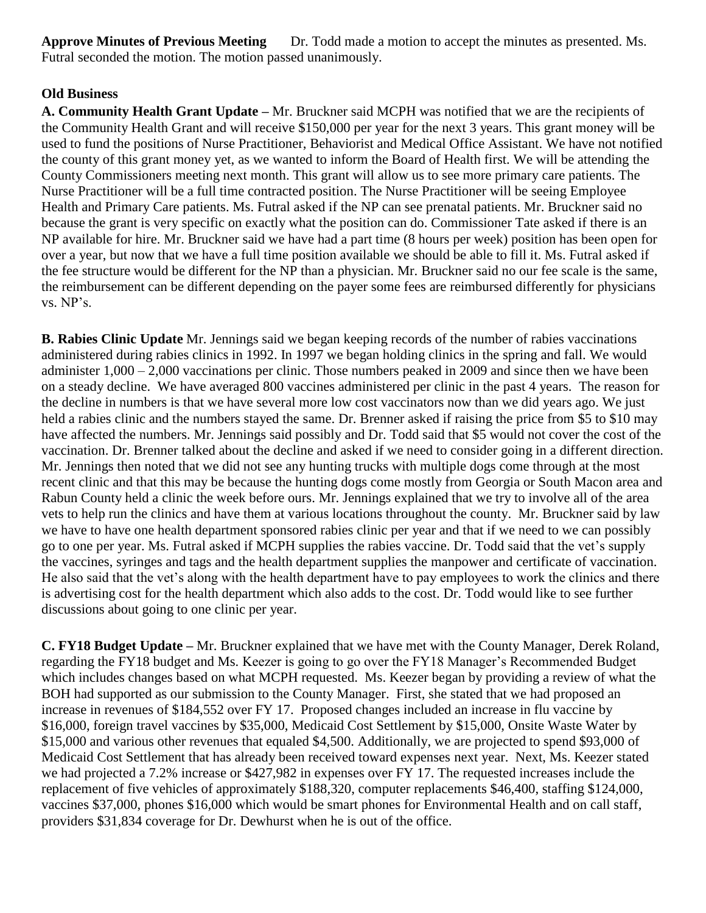**Approve Minutes of Previous Meeting** Dr. Todd made a motion to accept the minutes as presented. Ms. Futral seconded the motion. The motion passed unanimously.

# **Old Business**

**A. Community Health Grant Update –** Mr. Bruckner said MCPH was notified that we are the recipients of the Community Health Grant and will receive \$150,000 per year for the next 3 years. This grant money will be used to fund the positions of Nurse Practitioner, Behaviorist and Medical Office Assistant. We have not notified the county of this grant money yet, as we wanted to inform the Board of Health first. We will be attending the County Commissioners meeting next month. This grant will allow us to see more primary care patients. The Nurse Practitioner will be a full time contracted position. The Nurse Practitioner will be seeing Employee Health and Primary Care patients. Ms. Futral asked if the NP can see prenatal patients. Mr. Bruckner said no because the grant is very specific on exactly what the position can do. Commissioner Tate asked if there is an NP available for hire. Mr. Bruckner said we have had a part time (8 hours per week) position has been open for over a year, but now that we have a full time position available we should be able to fill it. Ms. Futral asked if the fee structure would be different for the NP than a physician. Mr. Bruckner said no our fee scale is the same, the reimbursement can be different depending on the payer some fees are reimbursed differently for physicians vs. NP's.

**B. Rabies Clinic Update** Mr. Jennings said we began keeping records of the number of rabies vaccinations administered during rabies clinics in 1992. In 1997 we began holding clinics in the spring and fall. We would administer 1,000 – 2,000 vaccinations per clinic. Those numbers peaked in 2009 and since then we have been on a steady decline. We have averaged 800 vaccines administered per clinic in the past 4 years. The reason for the decline in numbers is that we have several more low cost vaccinators now than we did years ago. We just held a rabies clinic and the numbers stayed the same. Dr. Brenner asked if raising the price from \$5 to \$10 may have affected the numbers. Mr. Jennings said possibly and Dr. Todd said that \$5 would not cover the cost of the vaccination. Dr. Brenner talked about the decline and asked if we need to consider going in a different direction. Mr. Jennings then noted that we did not see any hunting trucks with multiple dogs come through at the most recent clinic and that this may be because the hunting dogs come mostly from Georgia or South Macon area and Rabun County held a clinic the week before ours. Mr. Jennings explained that we try to involve all of the area vets to help run the clinics and have them at various locations throughout the county. Mr. Bruckner said by law we have to have one health department sponsored rabies clinic per year and that if we need to we can possibly go to one per year. Ms. Futral asked if MCPH supplies the rabies vaccine. Dr. Todd said that the vet's supply the vaccines, syringes and tags and the health department supplies the manpower and certificate of vaccination. He also said that the vet's along with the health department have to pay employees to work the clinics and there is advertising cost for the health department which also adds to the cost. Dr. Todd would like to see further discussions about going to one clinic per year.

**C. FY18 Budget Update –** Mr. Bruckner explained that we have met with the County Manager, Derek Roland, regarding the FY18 budget and Ms. Keezer is going to go over the FY18 Manager's Recommended Budget which includes changes based on what MCPH requested. Ms. Keezer began by providing a review of what the BOH had supported as our submission to the County Manager. First, she stated that we had proposed an increase in revenues of \$184,552 over FY 17. Proposed changes included an increase in flu vaccine by \$16,000, foreign travel vaccines by \$35,000, Medicaid Cost Settlement by \$15,000, Onsite Waste Water by \$15,000 and various other revenues that equaled \$4,500. Additionally, we are projected to spend \$93,000 of Medicaid Cost Settlement that has already been received toward expenses next year. Next, Ms. Keezer stated we had projected a 7.2% increase or \$427,982 in expenses over FY 17. The requested increases include the replacement of five vehicles of approximately \$188,320, computer replacements \$46,400, staffing \$124,000, vaccines \$37,000, phones \$16,000 which would be smart phones for Environmental Health and on call staff, providers \$31,834 coverage for Dr. Dewhurst when he is out of the office.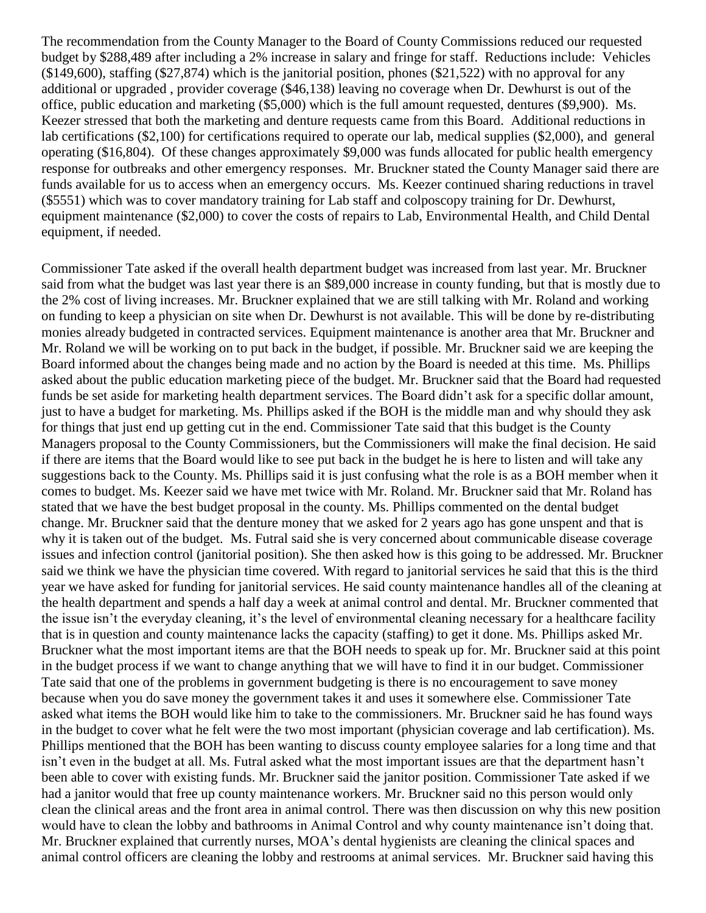The recommendation from the County Manager to the Board of County Commissions reduced our requested budget by \$288,489 after including a 2% increase in salary and fringe for staff. Reductions include: Vehicles  $($149,600)$ , staffing  $($27,874)$  which is the janitorial position, phones  $($21,522)$  with no approval for any additional or upgraded , provider coverage (\$46,138) leaving no coverage when Dr. Dewhurst is out of the office, public education and marketing (\$5,000) which is the full amount requested, dentures (\$9,900). Ms. Keezer stressed that both the marketing and denture requests came from this Board. Additional reductions in lab certifications (\$2,100) for certifications required to operate our lab, medical supplies (\$2,000), and general operating (\$16,804). Of these changes approximately \$9,000 was funds allocated for public health emergency response for outbreaks and other emergency responses. Mr. Bruckner stated the County Manager said there are funds available for us to access when an emergency occurs. Ms. Keezer continued sharing reductions in travel (\$5551) which was to cover mandatory training for Lab staff and colposcopy training for Dr. Dewhurst, equipment maintenance (\$2,000) to cover the costs of repairs to Lab, Environmental Health, and Child Dental equipment, if needed.

Commissioner Tate asked if the overall health department budget was increased from last year. Mr. Bruckner said from what the budget was last year there is an \$89,000 increase in county funding, but that is mostly due to the 2% cost of living increases. Mr. Bruckner explained that we are still talking with Mr. Roland and working on funding to keep a physician on site when Dr. Dewhurst is not available. This will be done by re-distributing monies already budgeted in contracted services. Equipment maintenance is another area that Mr. Bruckner and Mr. Roland we will be working on to put back in the budget, if possible. Mr. Bruckner said we are keeping the Board informed about the changes being made and no action by the Board is needed at this time. Ms. Phillips asked about the public education marketing piece of the budget. Mr. Bruckner said that the Board had requested funds be set aside for marketing health department services. The Board didn't ask for a specific dollar amount, just to have a budget for marketing. Ms. Phillips asked if the BOH is the middle man and why should they ask for things that just end up getting cut in the end. Commissioner Tate said that this budget is the County Managers proposal to the County Commissioners, but the Commissioners will make the final decision. He said if there are items that the Board would like to see put back in the budget he is here to listen and will take any suggestions back to the County. Ms. Phillips said it is just confusing what the role is as a BOH member when it comes to budget. Ms. Keezer said we have met twice with Mr. Roland. Mr. Bruckner said that Mr. Roland has stated that we have the best budget proposal in the county. Ms. Phillips commented on the dental budget change. Mr. Bruckner said that the denture money that we asked for 2 years ago has gone unspent and that is why it is taken out of the budget. Ms. Futral said she is very concerned about communicable disease coverage issues and infection control (janitorial position). She then asked how is this going to be addressed. Mr. Bruckner said we think we have the physician time covered. With regard to janitorial services he said that this is the third year we have asked for funding for janitorial services. He said county maintenance handles all of the cleaning at the health department and spends a half day a week at animal control and dental. Mr. Bruckner commented that the issue isn't the everyday cleaning, it's the level of environmental cleaning necessary for a healthcare facility that is in question and county maintenance lacks the capacity (staffing) to get it done. Ms. Phillips asked Mr. Bruckner what the most important items are that the BOH needs to speak up for. Mr. Bruckner said at this point in the budget process if we want to change anything that we will have to find it in our budget. Commissioner Tate said that one of the problems in government budgeting is there is no encouragement to save money because when you do save money the government takes it and uses it somewhere else. Commissioner Tate asked what items the BOH would like him to take to the commissioners. Mr. Bruckner said he has found ways in the budget to cover what he felt were the two most important (physician coverage and lab certification). Ms. Phillips mentioned that the BOH has been wanting to discuss county employee salaries for a long time and that isn't even in the budget at all. Ms. Futral asked what the most important issues are that the department hasn't been able to cover with existing funds. Mr. Bruckner said the janitor position. Commissioner Tate asked if we had a janitor would that free up county maintenance workers. Mr. Bruckner said no this person would only clean the clinical areas and the front area in animal control. There was then discussion on why this new position would have to clean the lobby and bathrooms in Animal Control and why county maintenance isn't doing that. Mr. Bruckner explained that currently nurses, MOA's dental hygienists are cleaning the clinical spaces and animal control officers are cleaning the lobby and restrooms at animal services. Mr. Bruckner said having this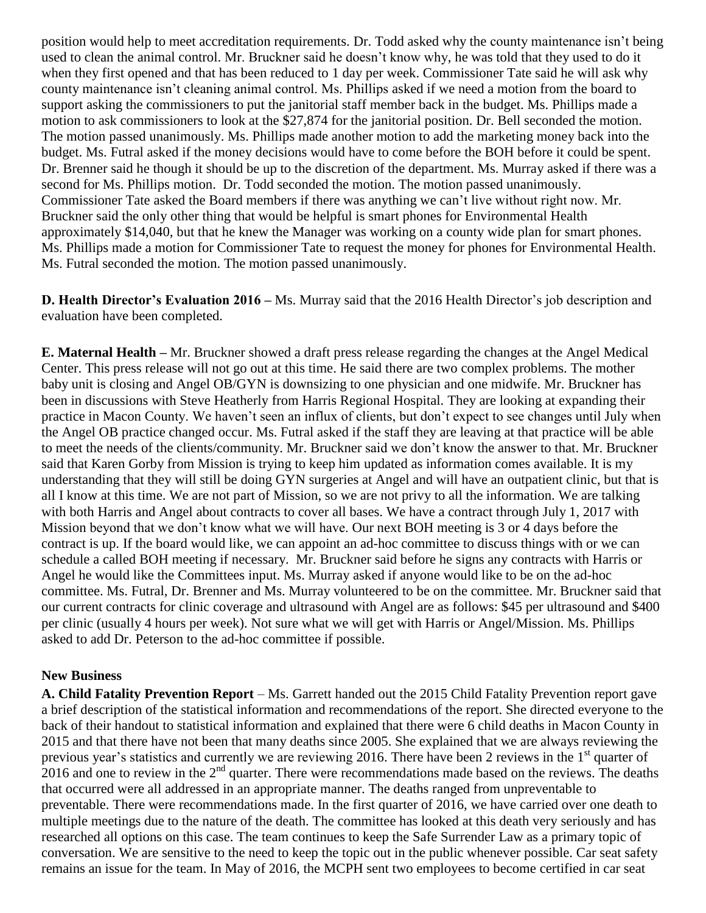position would help to meet accreditation requirements. Dr. Todd asked why the county maintenance isn't being used to clean the animal control. Mr. Bruckner said he doesn't know why, he was told that they used to do it when they first opened and that has been reduced to 1 day per week. Commissioner Tate said he will ask why county maintenance isn't cleaning animal control. Ms. Phillips asked if we need a motion from the board to support asking the commissioners to put the janitorial staff member back in the budget. Ms. Phillips made a motion to ask commissioners to look at the \$27,874 for the janitorial position. Dr. Bell seconded the motion. The motion passed unanimously. Ms. Phillips made another motion to add the marketing money back into the budget. Ms. Futral asked if the money decisions would have to come before the BOH before it could be spent. Dr. Brenner said he though it should be up to the discretion of the department. Ms. Murray asked if there was a second for Ms. Phillips motion. Dr. Todd seconded the motion. The motion passed unanimously. Commissioner Tate asked the Board members if there was anything we can't live without right now. Mr. Bruckner said the only other thing that would be helpful is smart phones for Environmental Health approximately \$14,040, but that he knew the Manager was working on a county wide plan for smart phones. Ms. Phillips made a motion for Commissioner Tate to request the money for phones for Environmental Health. Ms. Futral seconded the motion. The motion passed unanimously.

**D. Health Director's Evaluation 2016 –** Ms. Murray said that the 2016 Health Director's job description and evaluation have been completed.

**E. Maternal Health –** Mr. Bruckner showed a draft press release regarding the changes at the Angel Medical Center. This press release will not go out at this time. He said there are two complex problems. The mother baby unit is closing and Angel OB/GYN is downsizing to one physician and one midwife. Mr. Bruckner has been in discussions with Steve Heatherly from Harris Regional Hospital. They are looking at expanding their practice in Macon County. We haven't seen an influx of clients, but don't expect to see changes until July when the Angel OB practice changed occur. Ms. Futral asked if the staff they are leaving at that practice will be able to meet the needs of the clients/community. Mr. Bruckner said we don't know the answer to that. Mr. Bruckner said that Karen Gorby from Mission is trying to keep him updated as information comes available. It is my understanding that they will still be doing GYN surgeries at Angel and will have an outpatient clinic, but that is all I know at this time. We are not part of Mission, so we are not privy to all the information. We are talking with both Harris and Angel about contracts to cover all bases. We have a contract through July 1, 2017 with Mission beyond that we don't know what we will have. Our next BOH meeting is 3 or 4 days before the contract is up. If the board would like, we can appoint an ad-hoc committee to discuss things with or we can schedule a called BOH meeting if necessary. Mr. Bruckner said before he signs any contracts with Harris or Angel he would like the Committees input. Ms. Murray asked if anyone would like to be on the ad-hoc committee. Ms. Futral, Dr. Brenner and Ms. Murray volunteered to be on the committee. Mr. Bruckner said that our current contracts for clinic coverage and ultrasound with Angel are as follows: \$45 per ultrasound and \$400 per clinic (usually 4 hours per week). Not sure what we will get with Harris or Angel/Mission. Ms. Phillips asked to add Dr. Peterson to the ad-hoc committee if possible.

#### **New Business**

**A. Child Fatality Prevention Report** – Ms. Garrett handed out the 2015 Child Fatality Prevention report gave a brief description of the statistical information and recommendations of the report. She directed everyone to the back of their handout to statistical information and explained that there were 6 child deaths in Macon County in 2015 and that there have not been that many deaths since 2005. She explained that we are always reviewing the previous year's statistics and currently we are reviewing 2016. There have been 2 reviews in the  $1<sup>st</sup>$  quarter of  $2016$  and one to review in the  $2<sup>nd</sup>$  quarter. There were recommendations made based on the reviews. The deaths that occurred were all addressed in an appropriate manner. The deaths ranged from unpreventable to preventable. There were recommendations made. In the first quarter of 2016, we have carried over one death to multiple meetings due to the nature of the death. The committee has looked at this death very seriously and has researched all options on this case. The team continues to keep the Safe Surrender Law as a primary topic of conversation. We are sensitive to the need to keep the topic out in the public whenever possible. Car seat safety remains an issue for the team. In May of 2016, the MCPH sent two employees to become certified in car seat